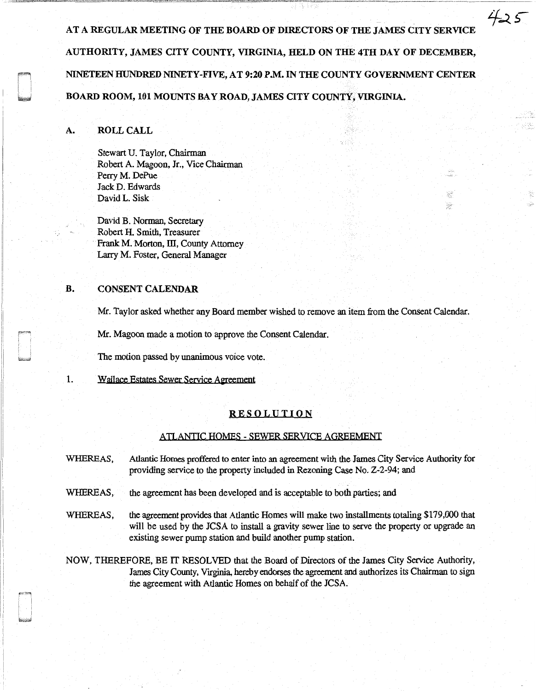AT A REGULAR MEETING OF THE BOARD OF DIRECTORS OF THE JAMES CITY SERVICE AUTHORITY, JAMES CITY COUNTY, VIRGINIA, HELD ON THE 4TH DAY OF DECEMBER, NINETEEN HUNDRED NINETY-FIVE, AT 9:20 P.M. IN THE COUNTY GOVERNMENT CENTER BOARD ROOM, 101 MOUNTS BAY ROAD, JAMES CITY COUNTY, VIRGINIA.

425

妄 邃

# A. ROLL CALL

Stewart U. Taylor, Chairman Robert A. Magoon, Jr., Vice Chairman Perry M. DePue Jack D. Edwards David L. Sisk

David B. Norman, Secretary Robert H. Smith, Treasurer Frank M. Morton, III, County Attorney Larry M. Foster, General Manager

# B. CONSENT CALENDAR

Mr. Taylor asked whether any Board member wished to remove an item from the Consent Calendar.

Mr. Magoon made a motion to approve the Consent Calendar.

The motion passed by unanimous voice vote.

1. Wallace Estates Sewer Service Agreement

## RESOLUTION

#### ATLANTIC HOMES - SEWER SERVICE AGREEMENT

- WHEREAS, Atlantic Homes proffered to enter into an agreement with the James City Service Authority for providing service to the property included in Rezoning Case No. Z-2-94; and
- WHEREAS, the agreement has been developed and is acceptable to both parties; and
- WHEREAS, the agreement provides that Atlantic Homes will make two installments totaling \$179,000 that will be used by the JCSA to install a gravity sewer line to serve the property or upgrade an existing sewer pump station and build another pump station.

NOW, THEREFORE, BE IT RESOLVED that the Board of Directors of the James City Service Authority, James City County, Virginia, hereby endorses the agreement and authorizes its Chairman to sign the agreement with Atlantic Homes on behalf of the JCSA.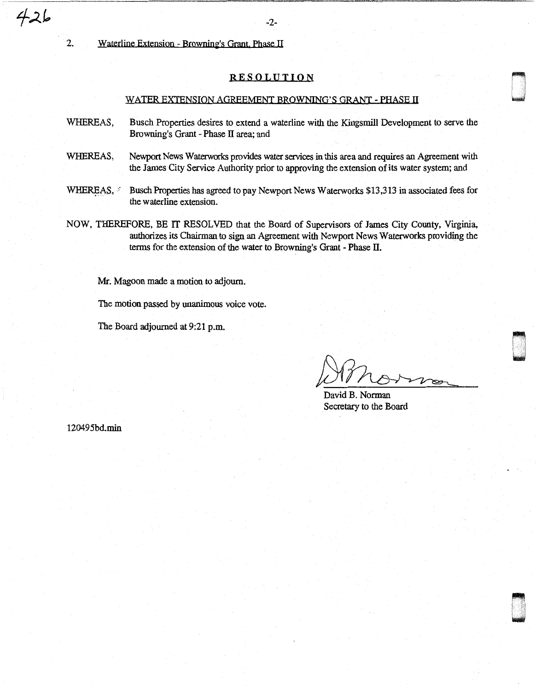$426$ 

2. Waterline Extension - Browning's Grant. Phase II

### RESOLUTION

#### WATER EXTENSION AGREEMENT BROWNING'S QRANT - PHASE II

- WHEREAS, Busch Properties desires to extend a waterline with the Kingsmill Development to serve the Browning's Grant - Phase II area; and
- WHEREAS, Newport News Waterworks provides water services in this area and requires an Agreement with the James City Service Authority prior to approving the extension of its water system; and
- WHEREAS, .:: Busch Properties has agreed to pay Newport News Waterworks \$13,313 in associated fees for the waterline extension.
- NOW, THEREFORE, BE IT RESOLVED that the Board of Supervisors of James City County, Virginia, authorizes its Chairman to sign an Agreement with Newport News Waterworks providing the terms for the extension of the water to Browning's Grant - Phase II.

Mr. Magoon made a motion to adjourn.

The motion passed by unanimous voice vote.

The Board adjourned at 9:21 p.m.

n w

n .. ~

David B. Norman Secretary to the Board

120495bd.min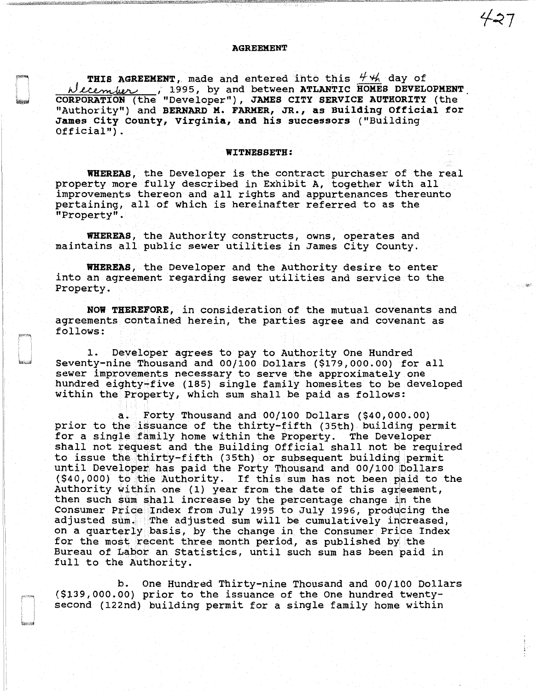#### AGREEMENT

THIS AGREEMENT, made and entered into this  $\frac{44}{1}$  day of  $\lambda$  ecember  $\lambda$ , 1995, by and between ATLANTIC HOMES DEVELOPMENT CORPORATION (the "Developer"), JAMES CITY SERVICE AUTHORITY (the "Authority") and BERNARD M. FARMER, JR., as Building Official for James City county, Virginia, and his successors ("Building  $Official"$ ).

#### WITNESSETH:

WHEREAS, the Developer is the contract purchaser of the real property more fully described in Exhibit A, together with all improvements thereon and all rights and appurtenances thereunto pertaining, all of which is hereinafter referred to as the "Property".

WHEREAS, the Authority constructs, owns, operates and maintains all public sewer utilities in James City County.

WHEREAS, the Developer and the Authority desire to enter into an agreement regarding sewer utilities and service to the Property.

NOW THEREFORE, in consideration of the mutual covenants and agreements contained herein, the parties agree and covenant as follows:

1. Developer agrees to pay to Authority One Hundred Seventy-nine Thousand and 00/100 Dollars (\$179,000.00) for all sewer improvements necessary to serve the approximately one hundred eighty~f ive (185) single family homesites to be developed within the Property, which sum shall be paid as follows:

a. Forty Thousand and 00/100 Dollars (\$40,000.00) prior to the issuance of the thirty-fifth (35th) building permit for a single family home within the Property. The Developer shall not request and the Building Official shall not be required to issue the thirty-fifth (35th) or subsequent building permit until Developer has paid the Forty Thousand and  $00/100$  pollars and the several part of the reference and the solities (\$40,000) to the Authority. If this sum has not been paid to the Authority within one (1) year from the date of this agreement, then such sum shall increase by the percentage change in the Consumer Price Index from July 1995 to July 1996, producing the adjusted sum. The adjusted sum will be cumulatively increased, on a quarterly basis, by the change in the Consumer Price Index for the most recent three month period, as published by the Bureau of Labor an Statistics, until such sum has been paid in full to the Authority.

b. One Hundred Thirty-nine Thousand and 00/100 Dollars (\$139,000.00) prior to the issuance of the One hundred twentysecond (122nd} building permit for a single family home within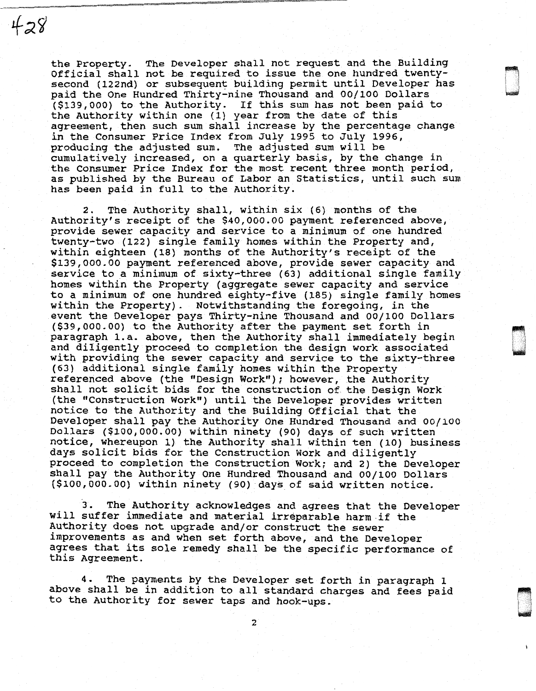the Property. The Developer shall not request and the Building Official shall not be required to issue the one hundred twentysecond (122nd) or subsequent building permit until Developer has paid the one Hundred Thirty~nine Thousand and 00/100 Dollars (\$139,000) to the Authority. If this sum has not been paid to the Authority within one (1) year from the date of this agreement, then such sum shall increase by the percentage change in the Consumer Price Index from July 1995 to July 1996, producing the adjusted sum. The adjusted sum will be cumulatively increased, on a quarterly basis, by the change in the Consumer Price Index for the most recent three month period, as published by the Bureau of Labor an Statistics, until such sum has been paid *in* full to the Authority.

 $428$ 

2. The Authority shall, within six {6) months of the Authority's receipt of the \$40,000.00 payment referenced above, provide sewer capacity and service to a minimum of one hundred twenty-two (122) single family homes within the Property and, within eighteen (18) months of the Authority's receipt of the \$139,000.00 payment referenced above, provide sewer capacity and service to a minimum of sixty-three (63) additional single family homes within the Property (aggregate sewer capacity and service to a minimum of one hundred eighty-five (185) single family homes within the Property). Notwithstanding the foregoing, *in* the event the Developer pays Thirty-nine Thousand and 00/100 Dollars (\$39,000.00) to the Authority after the payment set forth in paragraph 1.a. above, then the Authority shall immediately begin and diligently proceed to completion the design work associated with providing the sewer capacity and service to the sixty-three (63) additional single family homes within the Property referenced above {the "Design Work"}; however, the Authority shall not solicit bids for the construction of the Design Work (the "Construction Work") until the Developer provides written notice to the Authority and the Building Official that the Developer shall pay the Authority One Hundred Thousand and 00/100 Dollars (\$100,000.00} within ninety (90} days of such written notice, whereupon 1) the Authority shall within ten (10} business days solicit bids for the Construction Work and diligently proceed to completion the Construction Work; and 2) the Developer shall pay the Authority One Hundred Thousand and 00/100 Dollars (\$100,000.00) within ninety (90) days of said written notice.

3. The Authority acknowledges and agrees that the Developer will suffer immediate and material irreparable harm-if the Authority does not upgrade and/or construct the sewer improvements as and when set forth above, and the Developer agrees that its sole remedy shall be the specific performance of this Agreement.

The payments by the Developer set forth in paragraph 1 above shall be in addition to all standard charges and fees paid to the Authority for sewer taps and hook-ups.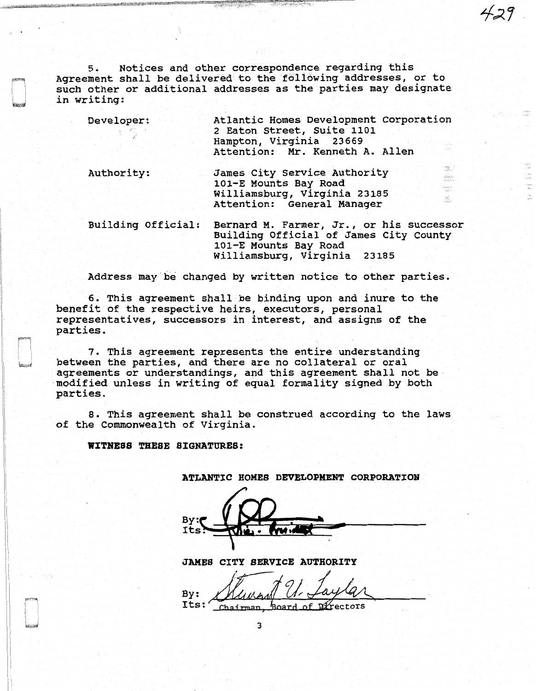5. Notices and other correspondence regarding this Agreement shall be delivered to the following addresses, or to such other or additional addresses as the parties may designate in writing:

Developer: Atlantic Homes Development Corporation 2 Eaton Street, Suite 1101 Hampton, Virginia 23669 Attention: Mr. Kenneth A. Allen Authority: James City Service Authority el Salveri<br>Se la larg 101-E Mounts Bay Road Agesta<br>Table Williamsburg, Virginia 23185 É. Attention: General Manager Building Official: Bernard M. Farmer, Jr., or his successor Building Official of James City County 101-E Mounts Bay Road Williamsburg, Virginia 23185

Address may be changed by written notice to other parties.

6. This agreement shall be binding upon and inure to the benefit of the respective heirs, executors, personal representatives, successors in interest, and assigns of the parties.

7. This agreement represents the entire understanding between the parties, and there are no collateral or oral agreements or understandings, and this agreement shall not be modified unless in writing of equal formality signed by both parties.

8. This agreement shall be construed according to the laws of the Commonwealth of Virginia.

WITNESS THESE SIGNATURES:

| nt nunt to | TURTHO |  |  |  |
|------------|--------|--|--|--|
|            |        |  |  |  |
|            |        |  |  |  |
|            | (1)    |  |  |  |
| By:        |        |  |  |  |
|            |        |  |  |  |

ATLANTIC HOMES DEVELOPMENT CORPORATION

JAMES CITY SERVICE AUTHORITY

By: Mungry U. Laylar

3